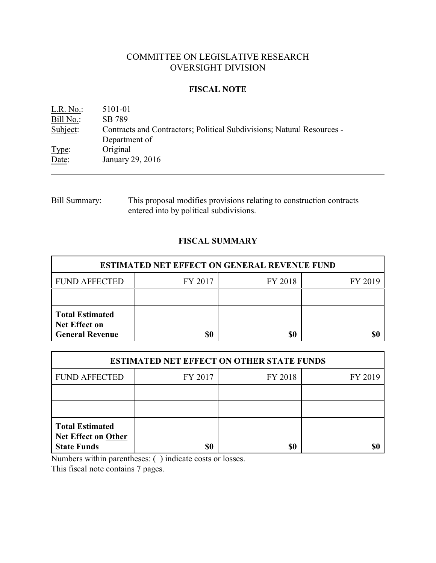# COMMITTEE ON LEGISLATIVE RESEARCH OVERSIGHT DIVISION

### **FISCAL NOTE**

| L.R. No.: | 5101-01                                                                |
|-----------|------------------------------------------------------------------------|
| Bill No.: | SB 789                                                                 |
| Subject:  | Contracts and Contractors; Political Subdivisions; Natural Resources - |
|           | Department of                                                          |
| Type:     | Original                                                               |
| Date:     | January 29, 2016                                                       |
|           |                                                                        |

# Bill Summary: This proposal modifies provisions relating to construction contracts entered into by political subdivisions.

# **FISCAL SUMMARY**

| <b>ESTIMATED NET EFFECT ON GENERAL REVENUE FUND</b>                      |         |         |         |  |
|--------------------------------------------------------------------------|---------|---------|---------|--|
| <b>FUND AFFECTED</b>                                                     | FY 2017 | FY 2018 | FY 2019 |  |
|                                                                          |         |         |         |  |
| <b>Total Estimated</b><br><b>Net Effect on</b><br><b>General Revenue</b> | \$0     | \$0     |         |  |

| <b>ESTIMATED NET EFFECT ON OTHER STATE FUNDS</b>                           |         |         |         |  |
|----------------------------------------------------------------------------|---------|---------|---------|--|
| <b>FUND AFFECTED</b>                                                       | FY 2017 | FY 2018 | FY 2019 |  |
|                                                                            |         |         |         |  |
|                                                                            |         |         |         |  |
| <b>Total Estimated</b><br><b>Net Effect on Other</b><br><b>State Funds</b> | \$0     | \$0     |         |  |

Numbers within parentheses: ( ) indicate costs or losses.

This fiscal note contains 7 pages.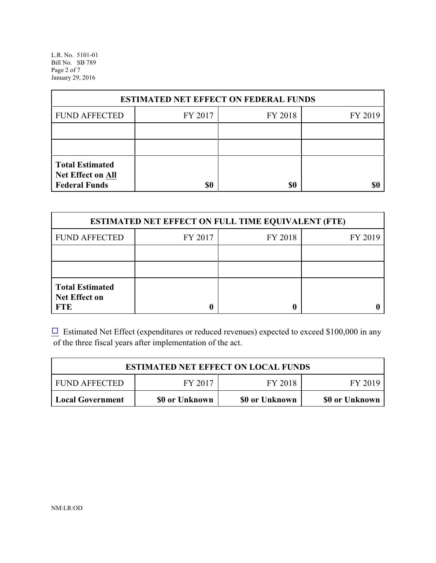L.R. No. 5101-01 Bill No. SB 789 Page 2 of 7 January 29, 2016

| <b>ESTIMATED NET EFFECT ON FEDERAL FUNDS</b>                        |         |         |         |  |
|---------------------------------------------------------------------|---------|---------|---------|--|
| <b>FUND AFFECTED</b>                                                | FY 2017 | FY 2018 | FY 2019 |  |
|                                                                     |         |         |         |  |
|                                                                     |         |         |         |  |
| <b>Total Estimated</b><br>Net Effect on All<br><b>Federal Funds</b> | \$0     | \$0     |         |  |

| <b>ESTIMATED NET EFFECT ON FULL TIME EQUIVALENT (FTE)</b>    |         |         |         |  |
|--------------------------------------------------------------|---------|---------|---------|--|
| <b>FUND AFFECTED</b>                                         | FY 2017 | FY 2018 | FY 2019 |  |
|                                                              |         |         |         |  |
|                                                              |         |         |         |  |
| <b>Total Estimated</b><br><b>Net Effect on</b><br><b>FTE</b> |         |         |         |  |

 $\Box$  Estimated Net Effect (expenditures or reduced revenues) expected to exceed \$100,000 in any of the three fiscal years after implementation of the act.

| <b>ESTIMATED NET EFFECT ON LOCAL FUNDS</b> |                |                |                |  |
|--------------------------------------------|----------------|----------------|----------------|--|
| <b>FUND AFFECTED</b>                       | FY 2017        | FY 2018        | FY 2019        |  |
| Local Government                           | \$0 or Unknown | \$0 or Unknown | \$0 or Unknown |  |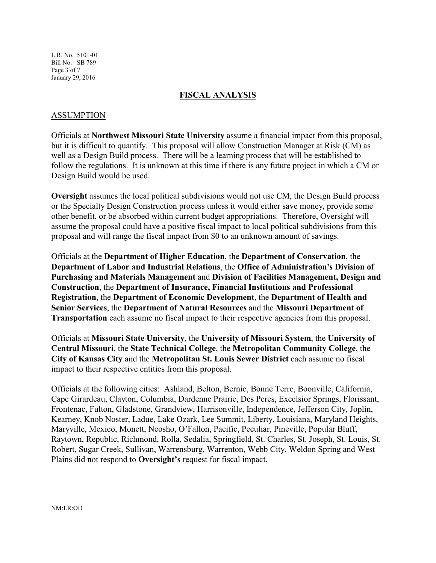L.R. No. 5101-01 Bill No. SB 789 Page 3 of 7 January 29, 2016

#### **FISCAL ANALYSIS**

#### ASSUMPTION

Officials at **Northwest Missouri State University** assume a financial impact from this proposal, but it is difficult to quantify. This proposal will allow Construction Manager at Risk (CM) as well as a Design Build process. There will be a learning process that will be established to follow the regulations. It is unknown at this time if there is any future project in which a CM or Design Build would be used.

**Oversight** assumes the local political subdivisions would not use CM, the Design Build process or the Specialty Design Construction process unless it would either save money, provide some other benefit, or be absorbed within current budget appropriations. Therefore, Oversight will assume the proposal could have a positive fiscal impact to local political subdivisions from this proposal and will range the fiscal impact from \$0 to an unknown amount of savings.

Officials at the **Department of Higher Education**, the **Department of Conservation**, the **Department of Labor and Industrial Relations**, the **Office of Administration's Division of Purchasing and Materials Management** and **Division of Facilities Management, Design and Construction**, the **Department of Insurance, Financial Institutions and Professional Registration**, the **Department of Economic Development**, the **Department of Health and Senior Services**, the **Department of Natural Resources** and the **Missouri Department of Transportation** each assume no fiscal impact to their respective agencies from this proposal.

Officials at **Missouri State University**, the **University of Missouri System**, the **University of Central Missouri**, the **State Technical College**, the **Metropolitan Community College**, the **City of Kansas City** and the **Metropolitan St. Louis Sewer District** each assume no fiscal impact to their respective entities from this proposal.

Officials at the following cities: Ashland, Belton, Bernie, Bonne Terre, Boonville, California, Cape Girardeau, Clayton, Columbia, Dardenne Prairie, Des Peres, Excelsior Springs, Florissant, Frontenac, Fulton, Gladstone, Grandview, Harrisonville, Independence, Jefferson City, Joplin, Kearney, Knob Noster, Ladue, Lake Ozark, Lee Summit, Liberty, Louisiana, Maryland Heights, Maryville, Mexico, Monett, Neosho, O'Fallon, Pacific, Peculiar, Pineville, Popular Bluff, Raytown, Republic, Richmond, Rolla, Sedalia, Springfield, St. Charles, St. Joseph, St. Louis, St. Robert, Sugar Creek, Sullivan, Warrensburg, Warrenton, Webb City, Weldon Spring and West Plains did not respond to **Oversight's** request for fiscal impact.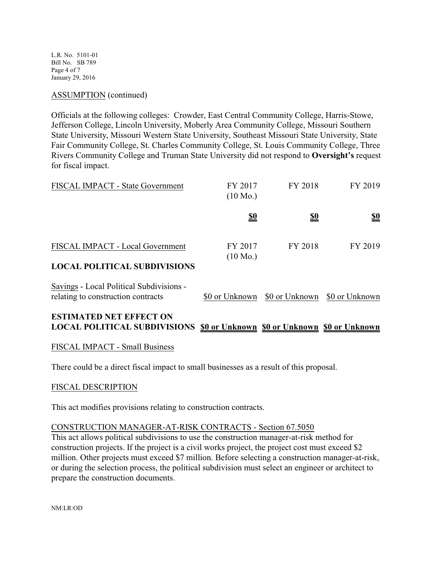L.R. No. 5101-01 Bill No. SB 789 Page 4 of 7 January 29, 2016

#### ASSUMPTION (continued)

Officials at the following colleges: Crowder, East Central Community College, Harris-Stowe, Jefferson College, Lincoln University, Moberly Area Community College, Missouri Southern State University, Missouri Western State University, Southeast Missouri State University, State Fair Community College, St. Charles Community College, St. Louis Community College, Three Rivers Community College and Truman State University did not respond to **Oversight's** request for fiscal impact.

| FISCAL IMPACT - State Government    | FY 2017<br>$(10 \text{ Mo.})$ | FY 2018    | FY 2019                       |
|-------------------------------------|-------------------------------|------------|-------------------------------|
|                                     | <u>\$0</u>                    | <u>\$0</u> | $\underline{\underline{\$0}}$ |
| FISCAL IMPACT - Local Government    | FY 2017<br>$(10 \text{ Mo.})$ | FY 2018    | FY 2019                       |
| <b>LOCAL POLITICAL SUBDIVISIONS</b> |                               |            |                               |

# Savings - Local Political Subdivisions relating to construction contracts  $\qquad$  \$0 or Unknown \$0 or Unknown \$0 or Unknown

### **ESTIMATED NET EFFECT ON LOCAL POLITICAL SUBDIVISIONS \$0 or Unknown \$0 or Unknown \$0 or Unknown**

#### FISCAL IMPACT - Small Business

There could be a direct fiscal impact to small businesses as a result of this proposal.

#### FISCAL DESCRIPTION

This act modifies provisions relating to construction contracts.

#### CONSTRUCTION MANAGER-AT-RISK CONTRACTS - Section 67.5050

This act allows political subdivisions to use the construction manager-at-risk method for construction projects. If the project is a civil works project, the project cost must exceed \$2 million. Other projects must exceed \$7 million. Before selecting a construction manager-at-risk, or during the selection process, the political subdivision must select an engineer or architect to prepare the construction documents.

NM:LR:OD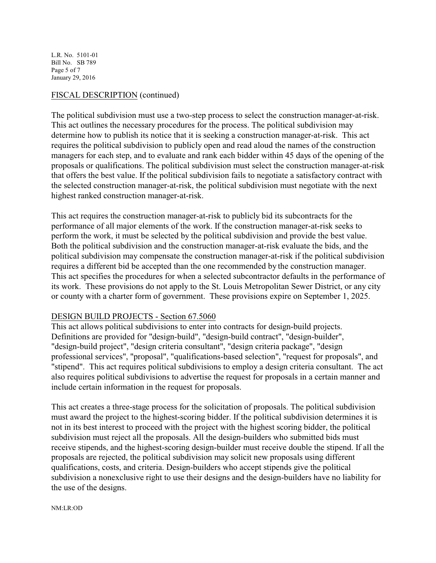L.R. No. 5101-01 Bill No. SB 789 Page 5 of 7 January 29, 2016

#### FISCAL DESCRIPTION (continued)

The political subdivision must use a two-step process to select the construction manager-at-risk. This act outlines the necessary procedures for the process. The political subdivision may determine how to publish its notice that it is seeking a construction manager-at-risk. This act requires the political subdivision to publicly open and read aloud the names of the construction managers for each step, and to evaluate and rank each bidder within 45 days of the opening of the proposals or qualifications. The political subdivision must select the construction manager-at-risk that offers the best value. If the political subdivision fails to negotiate a satisfactory contract with the selected construction manager-at-risk, the political subdivision must negotiate with the next highest ranked construction manager-at-risk.

This act requires the construction manager-at-risk to publicly bid its subcontracts for the performance of all major elements of the work. If the construction manager-at-risk seeks to perform the work, it must be selected by the political subdivision and provide the best value. Both the political subdivision and the construction manager-at-risk evaluate the bids, and the political subdivision may compensate the construction manager-at-risk if the political subdivision requires a different bid be accepted than the one recommended by the construction manager. This act specifies the procedures for when a selected subcontractor defaults in the performance of its work. These provisions do not apply to the St. Louis Metropolitan Sewer District, or any city or county with a charter form of government. These provisions expire on September 1, 2025.

#### DESIGN BUILD PROJECTS - Section 67.5060

This act allows political subdivisions to enter into contracts for design-build projects. Definitions are provided for "design-build", "design-build contract", "design-builder", "design-build project", "design criteria consultant", "design criteria package", "design professional services", "proposal", "qualifications-based selection", "request for proposals", and "stipend". This act requires political subdivisions to employ a design criteria consultant. The act also requires political subdivisions to advertise the request for proposals in a certain manner and include certain information in the request for proposals.

This act creates a three-stage process for the solicitation of proposals. The political subdivision must award the project to the highest-scoring bidder. If the political subdivision determines it is not in its best interest to proceed with the project with the highest scoring bidder, the political subdivision must reject all the proposals. All the design-builders who submitted bids must receive stipends, and the highest-scoring design-builder must receive double the stipend. If all the proposals are rejected, the political subdivision may solicit new proposals using different qualifications, costs, and criteria. Design-builders who accept stipends give the political subdivision a nonexclusive right to use their designs and the design-builders have no liability for the use of the designs.

#### NM:LR:OD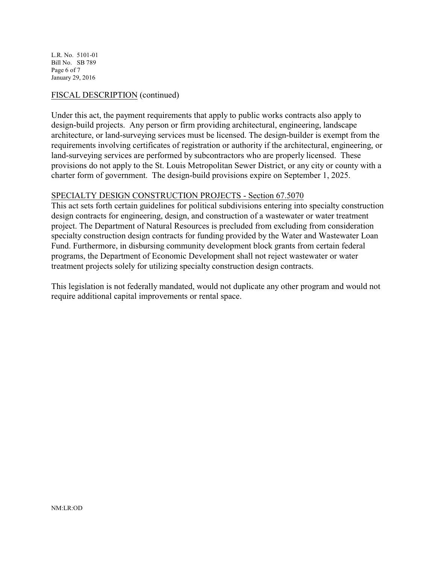L.R. No. 5101-01 Bill No. SB 789 Page 6 of 7 January 29, 2016

#### FISCAL DESCRIPTION (continued)

Under this act, the payment requirements that apply to public works contracts also apply to design-build projects. Any person or firm providing architectural, engineering, landscape architecture, or land-surveying services must be licensed. The design-builder is exempt from the requirements involving certificates of registration or authority if the architectural, engineering, or land-surveying services are performed by subcontractors who are properly licensed. These provisions do not apply to the St. Louis Metropolitan Sewer District, or any city or county with a charter form of government. The design-build provisions expire on September 1, 2025.

#### SPECIALTY DESIGN CONSTRUCTION PROJECTS - Section 67.5070

This act sets forth certain guidelines for political subdivisions entering into specialty construction design contracts for engineering, design, and construction of a wastewater or water treatment project. The Department of Natural Resources is precluded from excluding from consideration specialty construction design contracts for funding provided by the Water and Wastewater Loan Fund. Furthermore, in disbursing community development block grants from certain federal programs, the Department of Economic Development shall not reject wastewater or water treatment projects solely for utilizing specialty construction design contracts.

This legislation is not federally mandated, would not duplicate any other program and would not require additional capital improvements or rental space.